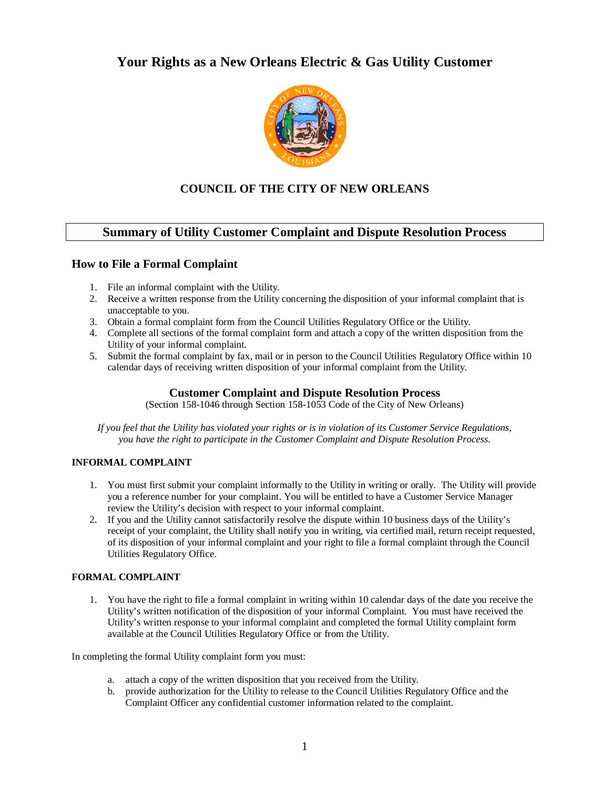# **Your Rights as a New Orleans Electric & Gas Utility Customer**



# **COUNCIL OF THE CITY OF NEW ORLEANS**

## **Summary of Utility Customer Complaint and Dispute Resolution Process**

### **How to File a Formal Complaint**

- 1. File an informal complaint with the Utility.
- 2. Receive a written response from the Utility concerning the disposition of your informal complaint that is unacceptable to you.
- 3. Obtain a formal complaint form from the Council Utilities Regulatory Office or the Utility.
- 4. Complete all sections of the formal complaint form and attach a copy of the written disposition from the Utility of your informal complaint.
- 5. Submit the formal complaint by fax, mail or in person to the Council Utilities Regulatory Office within 10 calendar days of receiving written disposition of your informal complaint from the Utility.

### **Customer Complaint and Dispute Resolution Process**

(Section 158-1046 through Section 158-1053 Code of the City of New Orleans)

*If you feel that the Utility has violated your rights or is in violation of its Customer Service Regulations, you have the right to participate in the Customer Complaint and Dispute Resolution Process.*

#### **INFORMAL COMPLAINT**

- 1. You must first submit your complaint informally to the Utility in writing or orally. The Utility will provide you a reference number for your complaint. You will be entitled to have a Customer Service Manager review the Utility's decision with respect to your informal complaint.
- 2. If you and the Utility cannot satisfactorily resolve the dispute within 10 business days of the Utility's receipt of your complaint, the Utility shall notify you in writing, via certified mail, return receipt requested, of its disposition of your informal complaint and your right to file a formal complaint through the Council Utilities Regulatory Office.

#### **FORMAL COMPLAINT**

1. You have the right to file a formal complaint in writing within 10 calendar days of the date you receive the Utility's written notification of the disposition of your informal Complaint. You must have received the Utility's written response to your informal complaint and completed the formal Utility complaint form available at the Council Utilities Regulatory Office or from the Utility.

In completing the formal Utility complaint form you must:

- a. attach a copy of the written disposition that you received from the Utility.
- b. provide authorization for the Utility to release to the Council Utilities Regulatory Office and the Complaint Officer any confidential customer information related to the complaint.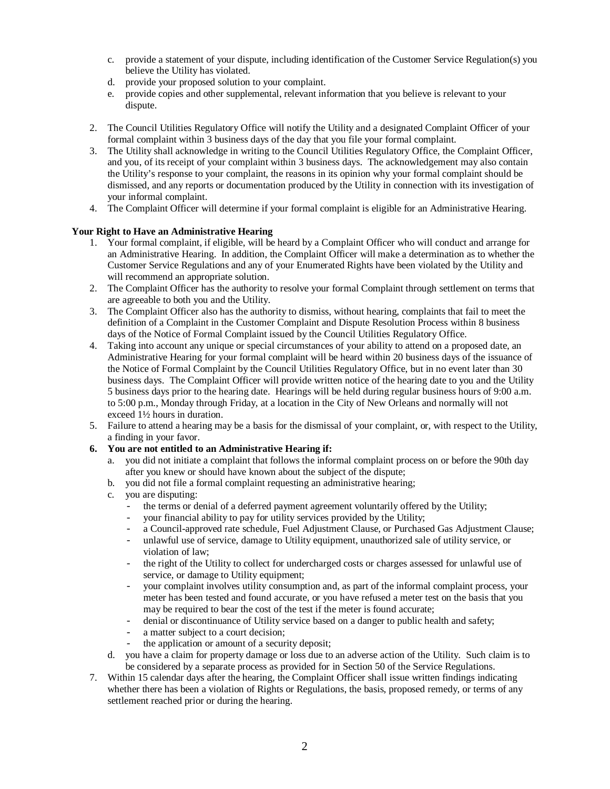- c. provide a statement of your dispute, including identification of the Customer Service Regulation(s) you believe the Utility has violated.
- d. provide your proposed solution to your complaint.
- e. provide copies and other supplemental, relevant information that you believe is relevant to your dispute.
- 2. The Council Utilities Regulatory Office will notify the Utility and a designated Complaint Officer of your formal complaint within 3 business days of the day that you file your formal complaint.
- 3. The Utility shall acknowledge in writing to the Council Utilities Regulatory Office, the Complaint Officer, and you, of its receipt of your complaint within 3 business days. The acknowledgement may also contain the Utility's response to your complaint, the reasons in its opinion why your formal complaint should be dismissed, and any reports or documentation produced by the Utility in connection with its investigation of your informal complaint.
- 4. The Complaint Officer will determine if your formal complaint is eligible for an Administrative Hearing.

#### **Your Right to Have an Administrative Hearing**

- 1. Your formal complaint, if eligible, will be heard by a Complaint Officer who will conduct and arrange for an Administrative Hearing. In addition, the Complaint Officer will make a determination as to whether the Customer Service Regulations and any of your Enumerated Rights have been violated by the Utility and will recommend an appropriate solution.
- 2. The Complaint Officer has the authority to resolve your formal Complaint through settlement on terms that are agreeable to both you and the Utility.
- 3. The Complaint Officer also has the authority to dismiss, without hearing, complaints that fail to meet the definition of a Complaint in the Customer Complaint and Dispute Resolution Process within 8 business days of the Notice of Formal Complaint issued by the Council Utilities Regulatory Office.
- 4. Taking into account any unique or special circumstances of your ability to attend on a proposed date, an Administrative Hearing for your formal complaint will be heard within 20 business days of the issuance of the Notice of Formal Complaint by the Council Utilities Regulatory Office, but in no event later than 30 business days. The Complaint Officer will provide written notice of the hearing date to you and the Utility 5 business days prior to the hearing date. Hearings will be held during regular business hours of 9:00 a.m. to 5:00 p.m., Monday through Friday, at a location in the City of New Orleans and normally will not exceed 1½ hours in duration.
- 5. Failure to attend a hearing may be a basis for the dismissal of your complaint, or, with respect to the Utility, a finding in your favor.
- **6. You are not entitled to an Administrative Hearing if:**
	- a. you did not initiate a complaint that follows the informal complaint process on or before the 90th day after you knew or should have known about the subject of the dispute;
	- b. you did not file a formal complaint requesting an administrative hearing;
	- c. you are disputing:
		- the terms or denial of a deferred payment agreement voluntarily offered by the Utility;<br>- vour financial ability to pay for utility services provided by the Utility:
		- your financial ability to pay for utility services provided by the Utility;
		- a Council-approved rate schedule, Fuel Adjustment Clause, or Purchased Gas Adjustment Clause;
		- unlawful use of service, damage to Utility equipment, unauthorized sale of utility service, or violation of law;
		- the right of the Utility to collect for undercharged costs or charges assessed for unlawful use of service, or damage to Utility equipment;
		- your complaint involves utility consumption and, as part of the informal complaint process, your meter has been tested and found accurate, or you have refused a meter test on the basis that you may be required to bear the cost of the test if the meter is found accurate;
		- denial or discontinuance of Utility service based on a danger to public health and safety;
		- a matter subject to a court decision;
		- the application or amount of a security deposit;
	- d. you have a claim for property damage or loss due to an adverse action of the Utility. Such claim is to be considered by a separate process as provided for in Section 50 of the Service Regulations.
- 7. Within 15 calendar days after the hearing, the Complaint Officer shall issue written findings indicating whether there has been a violation of Rights or Regulations, the basis, proposed remedy, or terms of any settlement reached prior or during the hearing.